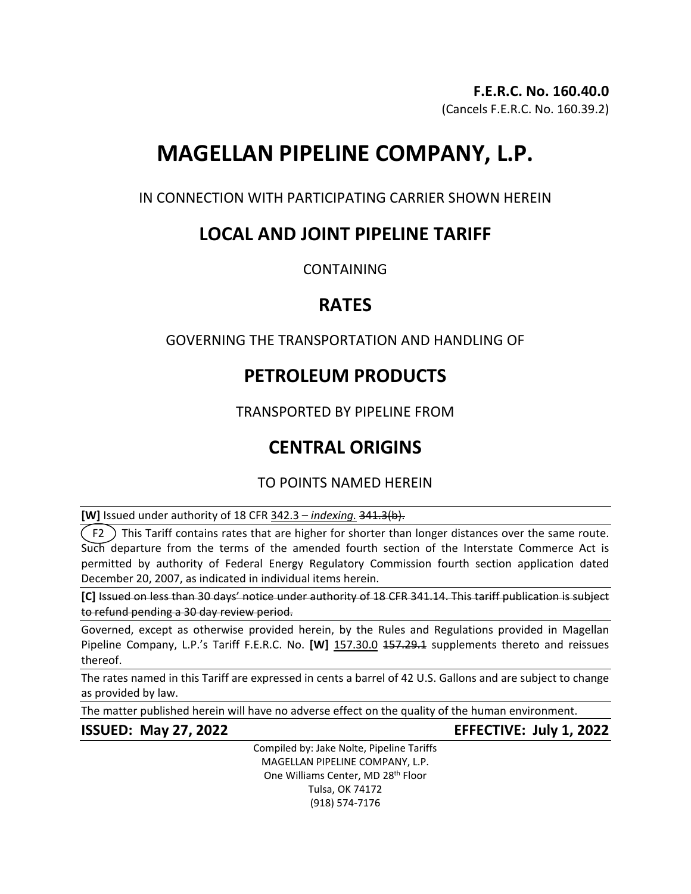# **MAGELLAN PIPELINE COMPANY, L.P.**

IN CONNECTION WITH PARTICIPATING CARRIER SHOWN HEREIN

# **LOCAL AND JOINT PIPELINE TARIFF**

**CONTAINING** 

# **RATES**

### GOVERNING THE TRANSPORTATION AND HANDLING OF

# **PETROLEUM PRODUCTS**

TRANSPORTED BY PIPELINE FROM

# **CENTRAL ORIGINS**

## TO POINTS NAMED HEREIN

**[W]** Issued under authority of 18 CFR 342.3 – *indexing.* 341.3(b).

 $\zeta$  F2  $\,$  This Tariff contains rates that are higher for shorter than longer distances over the same route. Such departure from the terms of the amended fourth section of the Interstate Commerce Act is permitted by authority of Federal Energy Regulatory Commission fourth section application dated December 20, 2007, as indicated in individual items herein.

**[C]** Issued on less than 30 days' notice under authority of 18 CFR 341.14. This tariff publication is subject to refund pending a 30 day review period.

Governed, except as otherwise provided herein, by the Rules and Regulations provided in Magellan Pipeline Company, L.P.'s Tariff F.E.R.C. No. **[W]** 157.30.0 157.29.1 supplements thereto and reissues thereof.

The rates named in this Tariff are expressed in cents a barrel of 42 U.S. Gallons and are subject to change as provided by law.

The matter published herein will have no adverse effect on the quality of the human environment.

**ISSUED: May 27, 2022 EFFECTIVE: July 1, 2022**

Compiled by: Jake Nolte, Pipeline Tariffs MAGELLAN PIPELINE COMPANY, L.P. One Williams Center, MD 28<sup>th</sup> Floor Tulsa, OK 74172 (918) 574-7176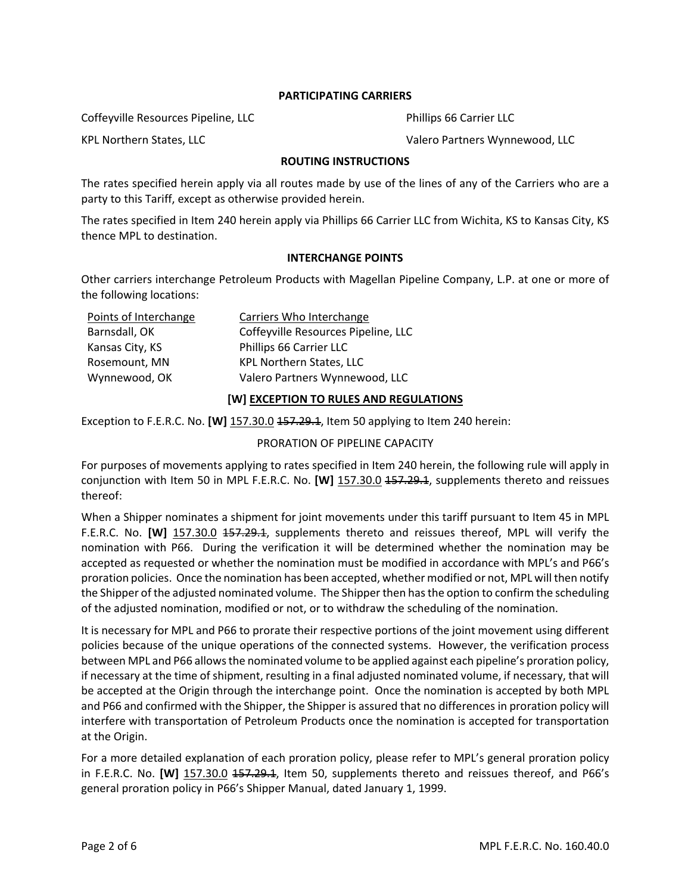### **PARTICIPATING CARRIERS**

Coffeyville Resources Pipeline, LLC Phillips 66 Carrier LLC

### KPL Northern States, LLC **Walers According to According the Valero Partners Wynnewood, LLC**

#### **ROUTING INSTRUCTIONS**

The rates specified herein apply via all routes made by use of the lines of any of the Carriers who are a party to this Tariff, except as otherwise provided herein.

The rates specified in Item 240 herein apply via Phillips 66 Carrier LLC from Wichita, KS to Kansas City, KS thence MPL to destination.

#### **INTERCHANGE POINTS**

Other carriers interchange Petroleum Products with Magellan Pipeline Company, L.P. at one or more of the following locations:

| Points of Interchange | Carriers Who Interchange            |
|-----------------------|-------------------------------------|
| Barnsdall, OK         | Coffeyville Resources Pipeline, LLC |
| Kansas City, KS       | Phillips 66 Carrier LLC             |
| Rosemount, MN         | <b>KPL Northern States, LLC</b>     |
| Wynnewood, OK         | Valero Partners Wynnewood, LLC      |

#### **[W] EXCEPTION TO RULES AND REGULATIONS**

Exception to F.E.R.C. No. **[W]** 157.30.0 157.29.1, Item 50 applying to Item 240 herein:

### PRORATION OF PIPELINE CAPACITY

For purposes of movements applying to rates specified in Item 240 herein, the following rule will apply in conjunction with Item 50 in MPL F.E.R.C. No. **[W]** 157.30.0 157.29.1, supplements thereto and reissues thereof:

When a Shipper nominates a shipment for joint movements under this tariff pursuant to Item 45 in MPL F.E.R.C. No. **[W]** 157.30.0 <del>157.29.1</del>, supplements thereto and reissues thereof, MPL will verify the nomination with P66. During the verification it will be determined whether the nomination may be accepted as requested or whether the nomination must be modified in accordance with MPL's and P66's proration policies. Once the nomination has been accepted, whether modified or not, MPL will then notify the Shipper of the adjusted nominated volume. The Shipper then has the option to confirm the scheduling of the adjusted nomination, modified or not, or to withdraw the scheduling of the nomination.

It is necessary for MPL and P66 to prorate their respective portions of the joint movement using different policies because of the unique operations of the connected systems. However, the verification process between MPL and P66 allows the nominated volume to be applied against each pipeline's proration policy, if necessary at the time of shipment, resulting in a final adjusted nominated volume, if necessary, that will be accepted at the Origin through the interchange point. Once the nomination is accepted by both MPL and P66 and confirmed with the Shipper, the Shipper is assured that no differences in proration policy will interfere with transportation of Petroleum Products once the nomination is accepted for transportation at the Origin.

For a more detailed explanation of each proration policy, please refer to MPL's general proration policy in F.E.R.C. No. **[W]** 157.30.0 157.29.1, Item 50, supplements thereto and reissues thereof, and P66's general proration policy in P66's Shipper Manual, dated January 1, 1999.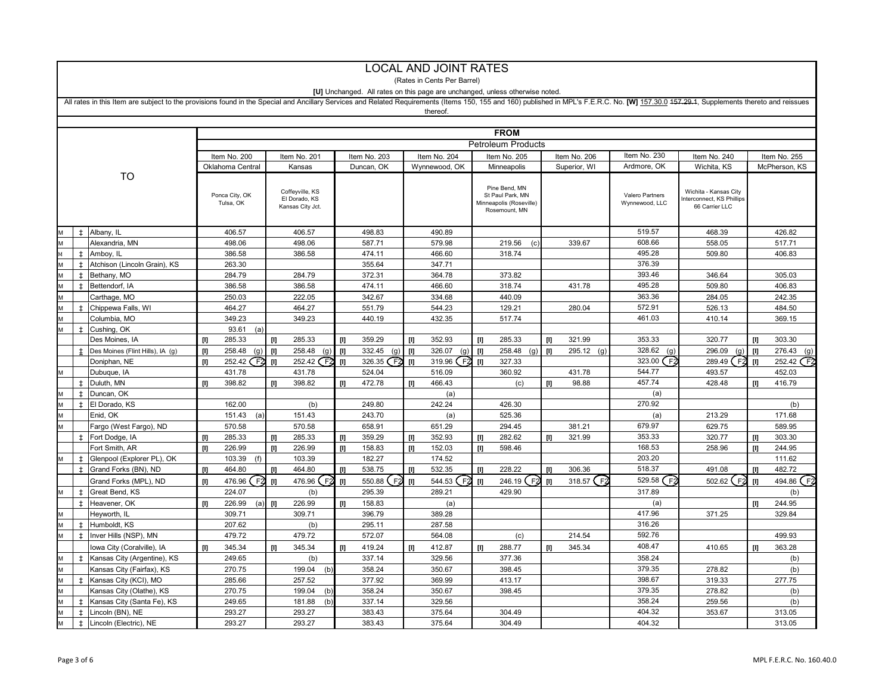|   | <b>LOCAL AND JOINT RATES</b>                                                 |                                                                                                                                                                                                                               |       |                  |                                                                                                                                                                                                                                                         |                                   |       |                   |                                                                                                                                                                                                                                                                                                                                                                                                           |                             |       |                                   |       |              |                  |                                            |       |                  |
|---|------------------------------------------------------------------------------|-------------------------------------------------------------------------------------------------------------------------------------------------------------------------------------------------------------------------------|-------|------------------|---------------------------------------------------------------------------------------------------------------------------------------------------------------------------------------------------------------------------------------------------------|-----------------------------------|-------|-------------------|-----------------------------------------------------------------------------------------------------------------------------------------------------------------------------------------------------------------------------------------------------------------------------------------------------------------------------------------------------------------------------------------------------------|-----------------------------|-------|-----------------------------------|-------|--------------|------------------|--------------------------------------------|-------|------------------|
|   |                                                                              |                                                                                                                                                                                                                               |       |                  |                                                                                                                                                                                                                                                         |                                   |       |                   |                                                                                                                                                                                                                                                                                                                                                                                                           | (Rates in Cents Per Barrel) |       |                                   |       |              |                  |                                            |       |                  |
|   | [U] Unchanged. All rates on this page are unchanged, unless otherwise noted. |                                                                                                                                                                                                                               |       |                  |                                                                                                                                                                                                                                                         |                                   |       |                   |                                                                                                                                                                                                                                                                                                                                                                                                           |                             |       |                                   |       |              |                  |                                            |       |                  |
|   |                                                                              | All rates in this Item are subject to the provisions found in the Special and Ancillary Services and Related Requirements (Items 150, 155 and 160) published in MPL's F.E.R.C. No. [W] 157.30.0 457.29.4, Supplements thereto |       |                  |                                                                                                                                                                                                                                                         |                                   |       |                   |                                                                                                                                                                                                                                                                                                                                                                                                           |                             |       |                                   |       |              |                  |                                            |       |                  |
|   |                                                                              |                                                                                                                                                                                                                               |       |                  |                                                                                                                                                                                                                                                         |                                   |       |                   |                                                                                                                                                                                                                                                                                                                                                                                                           | thereof.                    |       |                                   |       |              |                  |                                            |       |                  |
|   |                                                                              |                                                                                                                                                                                                                               |       |                  |                                                                                                                                                                                                                                                         |                                   |       |                   |                                                                                                                                                                                                                                                                                                                                                                                                           |                             |       |                                   |       |              |                  |                                            |       |                  |
|   | <b>FROM</b>                                                                  |                                                                                                                                                                                                                               |       |                  |                                                                                                                                                                                                                                                         |                                   |       |                   |                                                                                                                                                                                                                                                                                                                                                                                                           |                             |       |                                   |       |              |                  |                                            |       |                  |
|   |                                                                              |                                                                                                                                                                                                                               |       |                  |                                                                                                                                                                                                                                                         |                                   |       |                   |                                                                                                                                                                                                                                                                                                                                                                                                           |                             |       | <b>Petroleum Products</b>         |       |              |                  |                                            |       |                  |
|   |                                                                              |                                                                                                                                                                                                                               |       | Item No. 200     |                                                                                                                                                                                                                                                         | Item No. 201                      |       | Item No. 203      |                                                                                                                                                                                                                                                                                                                                                                                                           | Item No. 204                |       | Item No. 205                      |       | Item No. 206 | Item No. 230     | Item No. 240                               |       | Item No. 255     |
|   |                                                                              |                                                                                                                                                                                                                               |       | Oklahoma Central |                                                                                                                                                                                                                                                         | Kansas                            |       | Duncan, OK        |                                                                                                                                                                                                                                                                                                                                                                                                           | Wynnewood, OK               |       | Minneapolis                       |       | Superior, WI | Ardmore, OK      | Wichita, KS                                |       | McPherson, KS    |
|   |                                                                              | TO                                                                                                                                                                                                                            |       |                  |                                                                                                                                                                                                                                                         |                                   |       |                   |                                                                                                                                                                                                                                                                                                                                                                                                           |                             |       |                                   |       |              |                  |                                            |       |                  |
|   |                                                                              |                                                                                                                                                                                                                               |       | Ponca City, OK   |                                                                                                                                                                                                                                                         | Coffeyville, KS                   |       |                   |                                                                                                                                                                                                                                                                                                                                                                                                           |                             |       | Pine Bend, MN<br>St Paul Park, MN |       |              | Valero Partners  | Wichita - Kansas City                      |       |                  |
|   |                                                                              |                                                                                                                                                                                                                               |       | Tulsa, OK        |                                                                                                                                                                                                                                                         | El Dorado, KS<br>Kansas City Jct. |       |                   |                                                                                                                                                                                                                                                                                                                                                                                                           |                             |       | Minneapolis (Roseville)           |       |              | Wynnewood, LLC   | nterconnect. KS Phillips<br>66 Carrier LLC |       |                  |
|   |                                                                              |                                                                                                                                                                                                                               |       |                  |                                                                                                                                                                                                                                                         |                                   |       |                   |                                                                                                                                                                                                                                                                                                                                                                                                           |                             |       | Rosemount, MN                     |       |              |                  |                                            |       |                  |
|   |                                                                              |                                                                                                                                                                                                                               |       |                  |                                                                                                                                                                                                                                                         |                                   |       |                   |                                                                                                                                                                                                                                                                                                                                                                                                           |                             |       |                                   |       |              |                  |                                            |       |                  |
|   | $\pm$                                                                        | Albany, IL                                                                                                                                                                                                                    |       | 406.57           |                                                                                                                                                                                                                                                         | 406.57                            |       | 498.83            |                                                                                                                                                                                                                                                                                                                                                                                                           | 490.89                      |       |                                   |       |              | 519.57           | 468.39                                     |       | 426.82           |
|   |                                                                              | Alexandria, MN                                                                                                                                                                                                                |       | 498.06           |                                                                                                                                                                                                                                                         | 498.06                            |       | 587.71            |                                                                                                                                                                                                                                                                                                                                                                                                           | 579.98                      |       | 219.56<br>(c)                     |       | 339.67       | 608.66           | 558.05                                     |       | 517.71           |
|   | $\pm$                                                                        | Amboy, IL                                                                                                                                                                                                                     |       | 386.58           |                                                                                                                                                                                                                                                         | 386.58                            |       | 474.11            |                                                                                                                                                                                                                                                                                                                                                                                                           | 466.60                      |       | 318.74                            |       |              | 495.28           | 509.80                                     |       | 406.83           |
|   | $\pm$                                                                        | Atchison (Lincoln Grain), KS                                                                                                                                                                                                  |       | 263.30           |                                                                                                                                                                                                                                                         |                                   |       | 355.64            |                                                                                                                                                                                                                                                                                                                                                                                                           | 347.71                      |       |                                   |       |              | 376.39<br>393.46 |                                            |       |                  |
| M | $\pm$                                                                        | Bethany, MO                                                                                                                                                                                                                   |       | 284.79           |                                                                                                                                                                                                                                                         | 284.79                            |       | 372.31            |                                                                                                                                                                                                                                                                                                                                                                                                           | 364.78                      |       | 373.82                            |       |              | 495.28           | 346.64                                     |       | 305.03           |
| M | $\pm$                                                                        | Bettendorf, IA                                                                                                                                                                                                                |       | 386.58           |                                                                                                                                                                                                                                                         | 386.58                            |       | 474.11            |                                                                                                                                                                                                                                                                                                                                                                                                           | 466.60                      |       | 318.74                            |       | 431.78       | 363.36           | 509.80                                     |       | 406.83           |
|   | $\pm$                                                                        | Carthage, MO                                                                                                                                                                                                                  |       | 250.03<br>464.27 |                                                                                                                                                                                                                                                         | 222.05<br>464.27                  |       | 342.67<br>551.79  |                                                                                                                                                                                                                                                                                                                                                                                                           | 334.68<br>544.23            |       | 440.09<br>129.21                  |       | 280.04       | 572.91           | 284.05<br>526.13                           |       | 242.35<br>484.50 |
|   |                                                                              | Chippewa Falls, WI<br>Columbia, MO                                                                                                                                                                                            |       | 349.23           |                                                                                                                                                                                                                                                         | 349.23                            |       | 440.19            |                                                                                                                                                                                                                                                                                                                                                                                                           | 432.35                      |       | 517.74                            |       |              | 461.03           | 410.14                                     |       | 369.15           |
|   | $\pm$                                                                        | Cushing, OK                                                                                                                                                                                                                   |       | 93.61<br>(a)     |                                                                                                                                                                                                                                                         |                                   |       |                   |                                                                                                                                                                                                                                                                                                                                                                                                           |                             |       |                                   |       |              |                  |                                            |       |                  |
|   |                                                                              | Des Moines, IA                                                                                                                                                                                                                | $[1]$ | 285.33           | U)                                                                                                                                                                                                                                                      | 285.33                            | $[1]$ | 359.29            | $[1]$                                                                                                                                                                                                                                                                                                                                                                                                     | 352.93                      | $[1]$ | 285.33                            | $[1]$ | 321.99       | 353.33           | 320.77                                     | $[1]$ | 303.30           |
|   |                                                                              | Des Moines (Flint Hills), IA (q)                                                                                                                                                                                              | $[1]$ | 258.48<br>(g)    | m                                                                                                                                                                                                                                                       | 258.48<br>(g)                     | $[1]$ | 332.45<br>(g)     | $[1]$                                                                                                                                                                                                                                                                                                                                                                                                     | 326.07<br>(q)               | Ш     | 258.48<br>(g)                     | m     | $295.12$ (g) | 328.62<br>(q)    | 296.09<br>(q)                              | $[1]$ | 276.43<br>(g)    |
|   |                                                                              | Doniphan, NE                                                                                                                                                                                                                  |       | 252.42 F2        | $[1] % \centering \includegraphics[width=0.47\textwidth]{images/TrDiM-Architecture.png} % \caption{The first two different values of $d \sim \tfrac{1}{2}$. The first two different values of $d$ and $d$ are the same.} \label{TrDiM-Architecture} %$  | 252.42 F2                         | $[1]$ | 326.35 F2         | $[1] \centering% \includegraphics[width=1.0\textwidth]{Figures/PD1.png} \caption{The 3D (black) model for the $z$-axis. The left side is the right side (black) model for the $z$-axis. The right side is the right side (black) model for the $z$-axis. The right side is the right side (black) model for the $z$-axis. The right side is the right side (black) model for the $z$-axis.} \label{fig5}$ | 319.96<br>F2                | $[1]$ | 327.33                            |       |              | (Fž<br>323.00    | F <sub>2</sub><br>289.49                   | $[1]$ | 252.42 F2        |
|   |                                                                              | Dubuque, IA                                                                                                                                                                                                                   |       | 431.78           |                                                                                                                                                                                                                                                         | 431.78                            |       | 524.04            |                                                                                                                                                                                                                                                                                                                                                                                                           | 516.09                      |       | 360.92                            |       | 431.78       | 544.77           | 493.57                                     |       | 452.03           |
|   | $\pm$                                                                        | Duluth, MN                                                                                                                                                                                                                    | $[1]$ | 398.82           | Ш                                                                                                                                                                                                                                                       | 398.82                            | Ш     | 472.78            | Ш                                                                                                                                                                                                                                                                                                                                                                                                         | 466.43                      |       | (c)                               | m     | 98.88        | 457.74           | 428.48                                     | $[1]$ | 416.79           |
|   | $\ddagger$                                                                   | Duncan, OK                                                                                                                                                                                                                    |       |                  |                                                                                                                                                                                                                                                         |                                   |       |                   |                                                                                                                                                                                                                                                                                                                                                                                                           | (a)                         |       |                                   |       |              | (a)              |                                            |       |                  |
| M | $\pm$                                                                        | El Dorado, KS                                                                                                                                                                                                                 |       | 162.00           |                                                                                                                                                                                                                                                         | (b)                               |       | 249.80            |                                                                                                                                                                                                                                                                                                                                                                                                           | 242.24                      |       | 426.30                            |       |              | 270.92           |                                            |       | (b)              |
| M |                                                                              | Enid, OK                                                                                                                                                                                                                      |       | 151.43<br>(a     |                                                                                                                                                                                                                                                         | 151.43                            |       | 243.70            |                                                                                                                                                                                                                                                                                                                                                                                                           | (a)                         |       | 525.36                            |       |              | (a)              | 213.29                                     |       | 171.68           |
| M |                                                                              | Fargo (West Fargo), ND                                                                                                                                                                                                        |       | 570.58           |                                                                                                                                                                                                                                                         | 570.58                            |       | 658.91            |                                                                                                                                                                                                                                                                                                                                                                                                           | 651.29                      |       | 294.45                            |       | 381.21       | 679.97           | 629.75                                     |       | 589.95           |
|   | $\pm$                                                                        | Fort Dodge, IA                                                                                                                                                                                                                | $[1]$ | 285.33           | m                                                                                                                                                                                                                                                       | 285.33                            | $[1]$ | 359.29            | [I]                                                                                                                                                                                                                                                                                                                                                                                                       | 352.93                      | Ш     | 282.62                            | Ш     | 321.99       | 353.33           | 320.77                                     | $[1]$ | 303.30           |
|   |                                                                              | Fort Smith, AR                                                                                                                                                                                                                | $[1]$ | 226.99           | [I]                                                                                                                                                                                                                                                     | 226.99                            | [I]   | 158.83            | $[1]$                                                                                                                                                                                                                                                                                                                                                                                                     | 152.03                      | IJ    | 598.46                            |       |              | 168.53           | 258.96                                     | $[1]$ | 244.95           |
|   | $\pm$                                                                        | Glenpool (Explorer PL), OK                                                                                                                                                                                                    |       | 103.39<br>(f)    |                                                                                                                                                                                                                                                         | 103.39                            |       | 182.27            |                                                                                                                                                                                                                                                                                                                                                                                                           | 174.52                      |       |                                   |       |              | 203.20           |                                            |       | 111.62           |
|   | $\ddagger$                                                                   | Grand Forks (BN), ND                                                                                                                                                                                                          | U     | 464.80           | Ш                                                                                                                                                                                                                                                       | 464.80                            | m     | 538.75            | [I]                                                                                                                                                                                                                                                                                                                                                                                                       | 532.35                      | Ш     | 228.22                            | Ш     | 306.36       | 518.37           | 491.08                                     | $[1]$ | 482.72           |
|   |                                                                              | Grand Forks (MPL), ND                                                                                                                                                                                                         | $[1]$ | E2<br>476.96     | $[1] % \centering \includegraphics[width=0.9\textwidth]{images/TrDiM-Architecture.png} % \caption{The first two different values of $d \sim \tfrac{1}{2}$. The first two different values of $d$ and $d$ are the same.} % \label{TrDiM-Architecture} %$ | F2<br>476.96                      | $[1]$ | .<br>F2<br>550.88 | $[1]$                                                                                                                                                                                                                                                                                                                                                                                                     | E)<br>544.53                | Ш     | E)<br>246.19                      | $[1]$ | 318.57 (F2   | 529.58<br>∫ F2   | F.<br>502.62                               | $[1]$ | (F2<br>494.86    |
|   | $\ddagger$                                                                   | Great Bend, KS                                                                                                                                                                                                                |       | 224.07           |                                                                                                                                                                                                                                                         | (b)                               |       | 295.39            |                                                                                                                                                                                                                                                                                                                                                                                                           | 289.21                      |       | 429.90                            |       |              | 317.89           |                                            |       | (b)              |
|   | $\pm$                                                                        | Heavener, OK                                                                                                                                                                                                                  | $[1]$ | 226.99<br>(a     | Ш                                                                                                                                                                                                                                                       | 226.99                            | $[1]$ | 158.83            |                                                                                                                                                                                                                                                                                                                                                                                                           | (a)                         |       |                                   |       |              | (a)              |                                            | $[1]$ | 244.95           |
|   |                                                                              | Heyworth, IL                                                                                                                                                                                                                  |       | 309.71           |                                                                                                                                                                                                                                                         | 309.71                            |       | 396.79            |                                                                                                                                                                                                                                                                                                                                                                                                           | 389.28                      |       |                                   |       |              | 417.96           | 371.25                                     |       | 329.84           |
| M | $\pm$                                                                        | Humboldt, KS                                                                                                                                                                                                                  |       | 207.62           |                                                                                                                                                                                                                                                         | (b)                               |       | 295.11            |                                                                                                                                                                                                                                                                                                                                                                                                           | 287.58                      |       |                                   |       |              | 316.26           |                                            |       |                  |
|   | $\pm$                                                                        | Inver Hills (NSP), MN                                                                                                                                                                                                         |       | 479.72           |                                                                                                                                                                                                                                                         | 479.72                            |       | 572.07            |                                                                                                                                                                                                                                                                                                                                                                                                           | 564.08                      |       | (c)                               |       | 214.54       | 592.76           |                                            |       | 499.93           |
|   |                                                                              | Iowa City (Coralville), IA                                                                                                                                                                                                    | $[1]$ | 345.34           | m                                                                                                                                                                                                                                                       | 345.34                            | $[1]$ | 419.24            | U)                                                                                                                                                                                                                                                                                                                                                                                                        | 412.87                      | $[1]$ | 288.77                            | m     | 345.34       | 408.47           | 410.65                                     | $[1]$ | 363.28           |
|   | $\pm$                                                                        | Kansas City (Argentine), KS                                                                                                                                                                                                   |       | 249.65           |                                                                                                                                                                                                                                                         | (b)                               |       | 337.14            |                                                                                                                                                                                                                                                                                                                                                                                                           | 329.56                      |       | 377.36                            |       |              | 358.24           |                                            |       | (b)              |
| M |                                                                              | Kansas City (Fairfax), KS                                                                                                                                                                                                     |       | 270.75           |                                                                                                                                                                                                                                                         | 199.04<br>(b)                     |       | 358.24            |                                                                                                                                                                                                                                                                                                                                                                                                           | 350.67                      |       | 398.45                            |       |              | 379.35           | 278.82                                     |       | (b)              |
|   | Ŧ                                                                            | Kansas City (KCI), MO                                                                                                                                                                                                         |       | 285.66           |                                                                                                                                                                                                                                                         | 257.52                            |       | 377.92            |                                                                                                                                                                                                                                                                                                                                                                                                           | 369.99                      |       | 413.17                            |       |              | 398.67           | 319.33                                     |       | 277.75           |
|   |                                                                              | Kansas City (Olathe), KS                                                                                                                                                                                                      |       | 270.75           |                                                                                                                                                                                                                                                         | 199.04<br>(b                      |       | 358.24            |                                                                                                                                                                                                                                                                                                                                                                                                           | 350.67                      |       | 398.45                            |       |              | 379.35           | 278.82                                     |       | (b)              |
| M | $\pm$                                                                        | Kansas City (Santa Fe), KS                                                                                                                                                                                                    |       | 249.65           |                                                                                                                                                                                                                                                         | 181.88<br>(b                      |       | 337.14            |                                                                                                                                                                                                                                                                                                                                                                                                           | 329.56                      |       |                                   |       |              | 358.24           | 259.56                                     |       | (b)              |
| M | $\pm$                                                                        | Lincoln (BN), NE                                                                                                                                                                                                              |       | 293.27           |                                                                                                                                                                                                                                                         | 293.27                            |       | 383.43            |                                                                                                                                                                                                                                                                                                                                                                                                           | 375.64                      |       | 304.49                            |       |              | 404.32           | 353.67                                     |       | 313.05           |
| M | $\ddagger$                                                                   | Lincoln (Electric), NE                                                                                                                                                                                                        |       | 293.27           |                                                                                                                                                                                                                                                         | 293.27                            |       | 383.43            |                                                                                                                                                                                                                                                                                                                                                                                                           | 375.64                      |       | 304.49                            |       |              | 404.32           |                                            |       | 313.05           |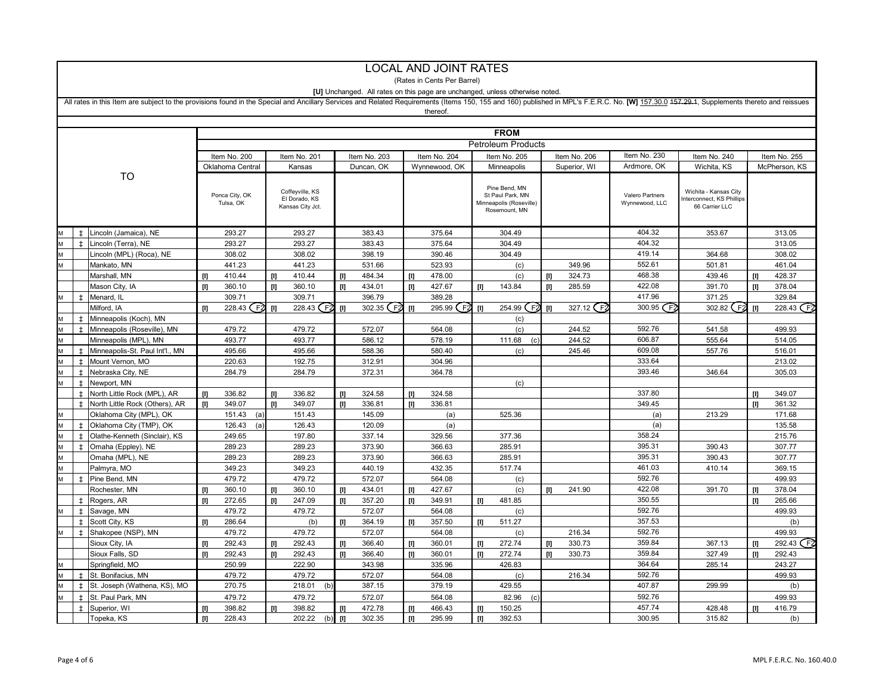|   | <b>LOCAL AND JOINT RATES</b>                                                                                                                                                                                                  |                                       |              |                             |                                                      |                  |              |                  |              |                             |                                                                               |                          |              |              |                                   |                                                                     |       |                  |
|---|-------------------------------------------------------------------------------------------------------------------------------------------------------------------------------------------------------------------------------|---------------------------------------|--------------|-----------------------------|------------------------------------------------------|------------------|--------------|------------------|--------------|-----------------------------|-------------------------------------------------------------------------------|--------------------------|--------------|--------------|-----------------------------------|---------------------------------------------------------------------|-------|------------------|
|   |                                                                                                                                                                                                                               |                                       |              |                             |                                                      |                  |              |                  |              | (Rates in Cents Per Barrel) |                                                                               |                          |              |              |                                   |                                                                     |       |                  |
|   | [U] Unchanged. All rates on this page are unchanged, unless otherwise noted.                                                                                                                                                  |                                       |              |                             |                                                      |                  |              |                  |              |                             |                                                                               |                          |              |              |                                   |                                                                     |       |                  |
|   | All rates in this Item are subject to the provisions found in the Special and Ancillary Services and Related Requirements (Items 150, 155 and 160) published in MPL's F.E.R.C. No. [W] 157.30.0 157.29.4, Supplements thereto |                                       |              |                             |                                                      |                  |              |                  |              |                             |                                                                               |                          |              |              |                                   |                                                                     |       |                  |
|   |                                                                                                                                                                                                                               |                                       |              |                             |                                                      |                  |              |                  |              | thereof                     |                                                                               |                          |              |              |                                   |                                                                     |       |                  |
|   |                                                                                                                                                                                                                               |                                       |              |                             |                                                      |                  |              |                  |              |                             |                                                                               |                          |              |              |                                   |                                                                     |       |                  |
|   | <b>FROM</b>                                                                                                                                                                                                                   |                                       |              |                             |                                                      |                  |              |                  |              |                             |                                                                               |                          |              |              |                                   |                                                                     |       |                  |
|   | <b>Petroleum Products</b>                                                                                                                                                                                                     |                                       |              |                             |                                                      |                  |              |                  |              |                             |                                                                               |                          |              |              |                                   |                                                                     |       |                  |
|   |                                                                                                                                                                                                                               |                                       |              | Item No. 200                |                                                      | Item No. 201     |              | Item No. 203     |              | Item No. 204                |                                                                               | Item No. 205             | Item No. 206 |              | Item No. 230                      | Item No. 240                                                        |       | Item No. 255     |
|   |                                                                                                                                                                                                                               |                                       |              | Oklahoma Central            |                                                      | Kansas           |              | Duncan, OK       |              | Wynnewood, OK               |                                                                               | Minneapolis              |              | Superior, WI | Ardmore, OK                       | Wichita, KS                                                         |       | McPherson, KS    |
|   |                                                                                                                                                                                                                               | TO                                    |              |                             |                                                      |                  |              |                  |              |                             |                                                                               |                          |              |              |                                   |                                                                     |       |                  |
|   |                                                                                                                                                                                                                               |                                       |              | Ponca City, OK<br>Tulsa, OK | Coffeyville, KS<br>El Dorado, KS<br>Kansas City Jct. |                  |              |                  |              |                             | Pine Bend, MN<br>St Paul Park, MN<br>Minneapolis (Roseville)<br>Rosemount, MN |                          |              |              | Valero Partners<br>Wynnewood, LLC | Wichita - Kansas City<br>nterconnect. KS Phillips<br>66 Carrier LLC |       |                  |
|   | $\pm$                                                                                                                                                                                                                         | Lincoln (Jamaica), NE                 |              | 293.27                      |                                                      | 293.27           |              | 383.43           |              | 375.64                      |                                                                               | 304.49                   |              |              | 404.32                            | 353.67                                                              |       | 313.05           |
|   | $\pm$                                                                                                                                                                                                                         | Lincoln (Terra), NE                   |              | 293.27                      |                                                      | 293.27           |              | 383.43           |              | 375.64                      |                                                                               | 304.49                   |              |              | 404.32                            |                                                                     |       | 313.05           |
|   |                                                                                                                                                                                                                               | Lincoln (MPL) (Roca), NE              |              | 308.02                      |                                                      | 308.02           |              | 398.19           |              | 390.46                      |                                                                               | 304.49                   |              |              | 419.14                            | 364.68                                                              |       | 308.02           |
| M |                                                                                                                                                                                                                               | Mankato, MN                           |              | 441.23                      |                                                      | 441.23           |              | 531.66           |              | 523.93                      |                                                                               | (c)                      |              | 349.96       | 552.61                            | 501.81                                                              |       | 461.04           |
|   |                                                                                                                                                                                                                               | Marshall, MN                          | $[1]$        | 410.44                      | Ш                                                    | 410.44           | $[1]$        | 484.34           | $[1]$        | 478.00                      |                                                                               | (c)                      | Ш            | 324.73       | 468.38                            | 439.46                                                              | m     | 428.37           |
|   |                                                                                                                                                                                                                               | Mason City, IA                        |              | 360.10                      | m                                                    | 360.10           | $[1]$        | 434.01           | $[1]$        | 427.67                      | $[1]$                                                                         | 143.84                   | [I]          | 285.59       | 422.08                            | 391.70                                                              | т     | 378.04           |
|   | $\ddagger$                                                                                                                                                                                                                    | Menard, IL                            |              | 309.71                      |                                                      | 309.71           |              | 396.79           |              | 389.28                      |                                                                               |                          |              |              | 417.96                            | 371.25                                                              |       | 329.84           |
|   |                                                                                                                                                                                                                               | Milford, IA                           | m            | 228.43 (F <sub>2</sub>      | m                                                    | 228.43 F2        | $[1]$        | 302.35 (F2       | $[1]$        | 295.99 F2                   | Ш                                                                             | F <sub>2</sub><br>254.99 | ш            | 327.12 F2    | 300.95 $F2$                       | 302.82 (F <sub>2</sub>                                              | m     | 228.43 F2        |
| M | Ŧ                                                                                                                                                                                                                             | Minneapolis (Koch), MN                |              |                             |                                                      |                  |              |                  |              |                             |                                                                               | (c)                      |              |              |                                   |                                                                     |       |                  |
|   | $\ddagger$                                                                                                                                                                                                                    | Minneapolis (Roseville), MN           |              | 479.72                      |                                                      | 479.72           |              | 572.07           |              | 564.08                      |                                                                               | (c)                      |              | 244.52       | 592.76                            | 541.58                                                              |       | 499.93           |
| M |                                                                                                                                                                                                                               | Minneapolis (MPL), MN                 |              | 493.77                      |                                                      | 493.77           |              | 586.12           |              | 578.19                      |                                                                               | 111.68<br>(c)            |              | 244.52       | 606.87                            | 555.64                                                              |       | 514.05           |
|   | $\pm$                                                                                                                                                                                                                         | Minneapolis-St. Paul Int'l., MN       |              | 495.66                      |                                                      | 495.66           |              | 588.36           |              | 580.40                      |                                                                               | (c)                      |              | 245.46       | 609.08                            | 557.76                                                              |       | 516.01           |
|   | $\pm$                                                                                                                                                                                                                         | Mount Vernon, MO                      |              | 220.63                      |                                                      | 192.75           |              | 312.91           |              | 304.96                      |                                                                               |                          |              |              | 333.64                            |                                                                     |       | 213.02           |
|   | $\pm$                                                                                                                                                                                                                         | Nebraska City, NE                     |              | 284.79                      |                                                      | 284.79           |              | 372.31           |              | 364.78                      |                                                                               |                          |              |              | 393.46                            | 346.64                                                              |       | 305.03           |
|   | $\pm$                                                                                                                                                                                                                         | Newport, MN                           |              |                             |                                                      |                  |              |                  |              |                             |                                                                               | (c)                      |              |              |                                   |                                                                     |       |                  |
|   | $\pm$                                                                                                                                                                                                                         | North Little Rock (MPL), AR           | $[1]$        | 336.82                      | Ш                                                    | 336.82           | $[1]$        | 324.58           | m            | 324.58                      |                                                                               |                          |              |              | 337.80                            |                                                                     | m     | 349.07           |
|   | $\pm$                                                                                                                                                                                                                         | North Little Rock (Others), AR        | $[1]$        | 349.07                      | m                                                    | 349.07           | $[1]$        | 336.81           | Ш            | 336.81                      |                                                                               |                          |              |              | 349.45                            |                                                                     | Ш     | 361.32           |
|   |                                                                                                                                                                                                                               | Oklahoma City (MPL), OK               |              | 151.43<br>(a                |                                                      | 151.43           |              | 145.09           |              | (a)                         |                                                                               | 525.36                   |              |              | (a)                               | 213.29                                                              |       | 171.68           |
|   | $\pm$                                                                                                                                                                                                                         | Oklahoma City (TMP), OK               |              | 126.43<br>(a)               |                                                      | 126.43           |              | 120.09           |              | (a)                         |                                                                               |                          |              |              | (a)                               |                                                                     |       | 135.58           |
|   | $\pm$                                                                                                                                                                                                                         | Olathe-Kenneth (Sinclair), KS         |              | 249.65                      |                                                      | 197.80           |              | 337.14           |              | 329.56                      |                                                                               | 377.36                   |              |              | 358.24                            |                                                                     |       | 215.76           |
|   | $\ddot{}$                                                                                                                                                                                                                     | Omaha (Eppley), NE                    |              | 289.23                      |                                                      | 289.23           |              | 373.90           |              | 366.63                      |                                                                               | 285.91                   |              |              | 395.31                            | 390.43                                                              |       | 307.77           |
|   |                                                                                                                                                                                                                               | Omaha (MPL), NE                       |              | 289.23                      |                                                      | 289.23           |              | 373.90           |              | 366.63                      |                                                                               | 285.91                   |              |              | 395.31                            | 390.43                                                              |       | 307.77           |
| M |                                                                                                                                                                                                                               | Palmyra, MO                           |              | 349.23                      |                                                      | 349.23           |              | 440.19           |              | 432.35                      |                                                                               | 517.74                   |              |              | 461.03                            | 410.14                                                              |       | 369.15           |
|   | $\ddot{}$                                                                                                                                                                                                                     | Pine Bend, MN                         |              | 479.72                      |                                                      | 479.72           |              | 572.07           |              | 564.08                      |                                                                               | (c)                      |              |              | 592.76                            |                                                                     |       | 499.93           |
|   |                                                                                                                                                                                                                               | Rochester, MN                         | $[1]$        | 360.10                      | т                                                    | 360.10           | $[1]$        | 434.01           | $[1]$        | 427.67                      |                                                                               | (c)                      | [I]          | 241.90       | 422.08                            | 391.70                                                              | $[1]$ | 378.04           |
|   | $\pm$                                                                                                                                                                                                                         | Rogers, AR                            | $[1]$        | 272.65                      | Ш                                                    | 247.09           | $[1]$        | 357.20           | $[1]$        | 349.91                      | Ш                                                                             | 481.85                   |              |              | 350.55                            |                                                                     | Ш     | 265.66           |
|   | $\pm$                                                                                                                                                                                                                         | Savage, MN                            |              | 479.72                      |                                                      | 479.72           |              | 572.07           |              | 564.08                      |                                                                               | (c)                      |              |              | 592.76                            |                                                                     |       | 499.93           |
|   | $\pm$<br>$\pm$                                                                                                                                                                                                                | Scott City, KS                        | $[1]$        | 286.64                      |                                                      | (b)<br>479.72    | $[1]$        | 364.19           | $[1]$        | 357.50<br>564.08            | Ш                                                                             | 511.27                   |              |              | 357.53<br>592.76                  |                                                                     |       | (b)              |
|   |                                                                                                                                                                                                                               | Shakopee (NSP), MN                    |              | 479.72                      |                                                      |                  |              | 572.07           |              |                             |                                                                               | (c)                      |              | 216.34       |                                   |                                                                     |       | 499.93           |
|   |                                                                                                                                                                                                                               | Sioux City, IA                        | $[1]$        | 292.43                      | Ш                                                    | 292.43           | $[1]$        | 366.40           | $[1]$        | 360.01                      | Ш                                                                             | 272.74                   | [I]          | 330.73       | 359.84<br>359.84                  | 367.13                                                              | [1]   | 292.43 F2        |
|   |                                                                                                                                                                                                                               | Sioux Falls, SD                       | Ш            | 292.43<br>250.99            | m                                                    | 292.43           | Ш            | 366.40<br>343.98 | $\mathbf{m}$ | 360.01                      | Ш                                                                             | 272.74                   | m            | 330.73       | 364.64                            | 327.49                                                              | Ш     | 292.43<br>243.27 |
|   | $\pm$                                                                                                                                                                                                                         | Springfield, MO<br>St. Bonifacius, MN |              | 479.72                      |                                                      | 222.90<br>479.72 |              | 572.07           |              | 335.96<br>564.08            |                                                                               | 426.83<br>(c)            |              | 216.34       | 592.76                            | 285.14                                                              |       | 499.93           |
|   | $\ddagger$                                                                                                                                                                                                                    | St. Joseph (Wathena, KS), MO          |              | 270.75                      |                                                      | 218.01<br>(b     |              | 387.15           |              | 379.19                      |                                                                               | 429.55                   |              |              | 407.87                            | 299.99                                                              |       | (b)              |
|   | $\pm$                                                                                                                                                                                                                         | St. Paul Park, MN                     |              | 479.72                      |                                                      | 479.72           |              | 572.07           |              | 564.08                      |                                                                               | 82.96<br>(c)             |              |              | 592.76                            |                                                                     |       | 499.93           |
|   | $\pm$                                                                                                                                                                                                                         | Superior, WI                          | Ш            | 398.82                      |                                                      | 398.82           | Ш            | 472.78           | Ш            | 466.43                      |                                                                               | 150.25                   |              |              | 457.74                            | 428.48                                                              |       | 416.79           |
|   |                                                                                                                                                                                                                               | Topeka, KS                            | $\mathbf{m}$ | 228.43                      |                                                      | 202.22<br>(b)    | $\mathbf{H}$ | 302.35           | $\mathbf{m}$ | 295.99                      | Ш                                                                             | 392.53                   |              |              | 300.95                            | 315.82                                                              |       | (b)              |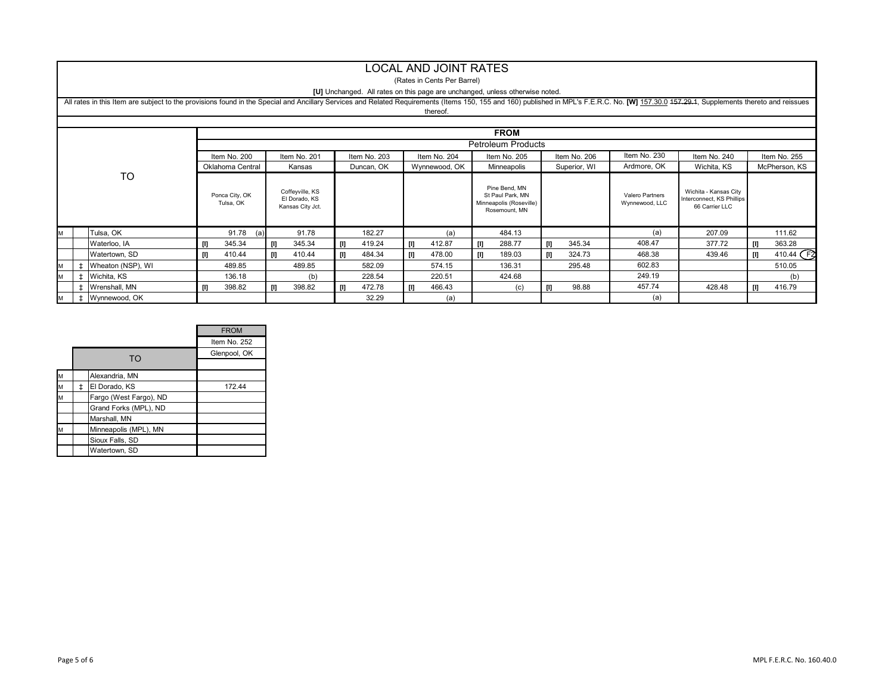#### LOCAL AND JOINT RATES

#### (Rates in Cents Per Barrel)

#### **[U]** Unchanged. All rates on this page are unchanged, unless otherwise noted.

|             | All rates in this Item are subject to the provisions found in the Special and Ancillary Services and Related Requirements (Items 150, 155 and 160) published in MPL's F.E.R.C. No. [W] 157.30.0 457.29.4, Supplements thereto<br>thereof. |                   |                             |                                                      |              |               |                                                                               |               |                                   |                                                                      |               |                        |  |  |  |
|-------------|-------------------------------------------------------------------------------------------------------------------------------------------------------------------------------------------------------------------------------------------|-------------------|-----------------------------|------------------------------------------------------|--------------|---------------|-------------------------------------------------------------------------------|---------------|-----------------------------------|----------------------------------------------------------------------|---------------|------------------------|--|--|--|
|             |                                                                                                                                                                                                                                           |                   |                             |                                                      |              |               |                                                                               |               |                                   |                                                                      |               |                        |  |  |  |
| <b>FROM</b> |                                                                                                                                                                                                                                           |                   |                             |                                                      |              |               |                                                                               |               |                                   |                                                                      |               |                        |  |  |  |
|             |                                                                                                                                                                                                                                           |                   | <b>Petroleum Products</b>   |                                                      |              |               |                                                                               |               |                                   |                                                                      |               |                        |  |  |  |
|             |                                                                                                                                                                                                                                           |                   | Item No. 200                | Item No. 201                                         | Item No. 203 | Item No. 204  | Item No. 205                                                                  | Item No. 206  | Item No. 230                      | Item No. 240                                                         | Item No. 255  |                        |  |  |  |
|             |                                                                                                                                                                                                                                           |                   | Oklahoma Central            | Kansas                                               | Duncan, OK   | Wynnewood, OK | Minneapolis<br>Superior, WI                                                   |               | Ardmore, OK                       | Wichita, KS                                                          | McPherson, KS |                        |  |  |  |
| <b>TO</b>   |                                                                                                                                                                                                                                           |                   | Ponca City, OK<br>Tulsa, OK | Coffeyville, KS<br>El Dorado, KS<br>Kansas City Jct. |              |               | Pine Bend, MN<br>St Paul Park, MN<br>Minneapolis (Roseville)<br>Rosemount, MN |               | Valero Partners<br>Wynnewood, LLC | Wichita - Kansas City<br>Interconnect, KS Phillips<br>66 Carrier LLC |               |                        |  |  |  |
| M           |                                                                                                                                                                                                                                           | Tulsa, OK         | 91.78<br>(a)                | 91.78                                                | 182.27       | (a)           | 484.13                                                                        |               | (a)                               | 207.09                                                               |               | 111.62                 |  |  |  |
|             |                                                                                                                                                                                                                                           | Waterloo, IA      | 345.34<br>m                 | 345.34                                               | 419.24<br>m  | 412.87<br>U)  | 288.77<br>IJ                                                                  | 345.34<br>[I] | 408.47                            | 377.72                                                               | U.            | 363.28                 |  |  |  |
|             |                                                                                                                                                                                                                                           | Watertown, SD     | 410.44<br>UI.               | 410.44<br>[I]                                        | 484.34<br>U. | 478.00<br>UI. | 189.03<br>-01                                                                 | 324.73<br>U   | 468.38                            | 439.46                                                               | U.            | 410.44 (F <sub>2</sub> |  |  |  |
| M           |                                                                                                                                                                                                                                           | Wheaton (NSP), WI | 489.85                      | 489.85                                               | 582.09       | 574.15        | 136.31                                                                        | 295.48        | 602.83                            |                                                                      |               | 510.05                 |  |  |  |
| M           |                                                                                                                                                                                                                                           | Wichita, KS       | 136.18                      | (b)                                                  | 228.54       | 220.51        | 424.68                                                                        |               | 249.19                            |                                                                      |               | (b)                    |  |  |  |
|             |                                                                                                                                                                                                                                           | Wrenshall, MN     | 398.82                      | 398.82                                               | 472.78       | 466.43        | (c)                                                                           | 98.88<br>[I]  | 457.74                            | 428.48                                                               | $\mathbf{u}$  | 416.79                 |  |  |  |
| M           |                                                                                                                                                                                                                                           | Wynnewood, OK     |                             |                                                      | 32.29        | (a)           |                                                                               |               | (a)                               |                                                                      |               |                        |  |  |  |

|   |                        | <b>FROM</b>  |
|---|------------------------|--------------|
|   |                        | Item No. 252 |
|   | TO                     | Glenpool, OK |
|   |                        |              |
| M | Alexandria, MN         |              |
| M | El Dorado, KS          | 172.44       |
| M | Fargo (West Fargo), ND |              |
|   | Grand Forks (MPL), ND  |              |
|   | Marshall, MN           |              |
| M | Minneapolis (MPL), MN  |              |
|   | Sioux Falls, SD        |              |
|   | Watertown, SD          |              |